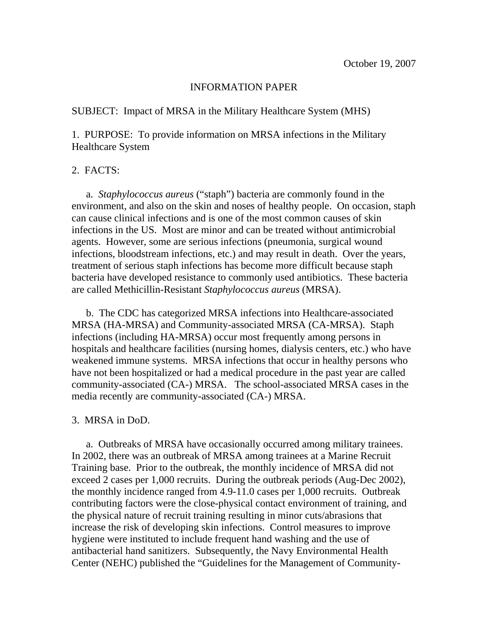## INFORMATION PAPER

SUBJECT: Impact of MRSA in the Military Healthcare System (MHS)

1. PURPOSE: To provide information on MRSA infections in the Military Healthcare System

## 2. FACTS:

 a. *Staphylococcus aureus* ("staph") bacteria are commonly found in the environment, and also on the skin and noses of healthy people. On occasion, staph can cause clinical infections and is one of the most common causes of skin infections in the US. Most are minor and can be treated without antimicrobial agents. However, some are serious infections (pneumonia, surgical wound infections, bloodstream infections, etc.) and may result in death. Over the years, treatment of serious staph infections has become more difficult because staph bacteria have developed resistance to commonly used antibiotics. These bacteria are called Methicillin-Resistant *Staphylococcus aureus* (MRSA).

 b. The CDC has categorized MRSA infections into Healthcare-associated MRSA (HA-MRSA) and Community-associated MRSA (CA-MRSA). Staph infections (including HA-MRSA) occur most frequently among persons in hospitals and healthcare facilities (nursing homes, dialysis centers, etc.) who have weakened immune systems. MRSA infections that occur in healthy persons who have not been hospitalized or had a medical procedure in the past year are called community-associated (CA-) MRSA. The school-associated MRSA cases in the media recently are community-associated (CA-) MRSA.

## 3. MRSA in DoD.

 a. Outbreaks of MRSA have occasionally occurred among military trainees. In 2002, there was an outbreak of MRSA among trainees at a Marine Recruit Training base. Prior to the outbreak, the monthly incidence of MRSA did not exceed 2 cases per 1,000 recruits. During the outbreak periods (Aug-Dec 2002), the monthly incidence ranged from 4.9-11.0 cases per 1,000 recruits. Outbreak contributing factors were the close-physical contact environment of training, and the physical nature of recruit training resulting in minor cuts/abrasions that increase the risk of developing skin infections. Control measures to improve hygiene were instituted to include frequent hand washing and the use of antibacterial hand sanitizers. Subsequently, the Navy Environmental Health Center (NEHC) published the "Guidelines for the Management of Community